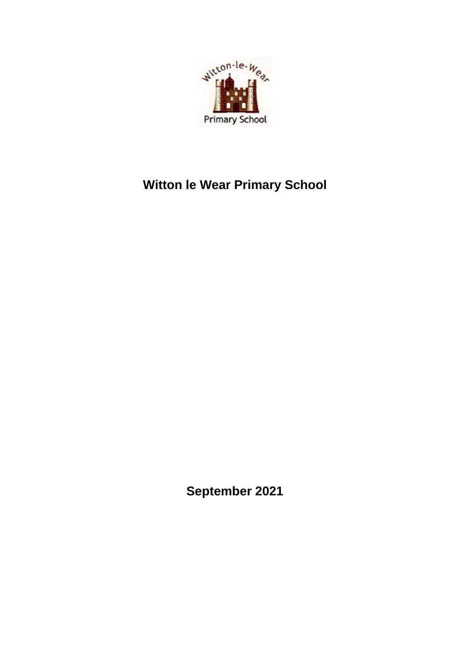

# **Witton le Wear Primary School**

**September 2021**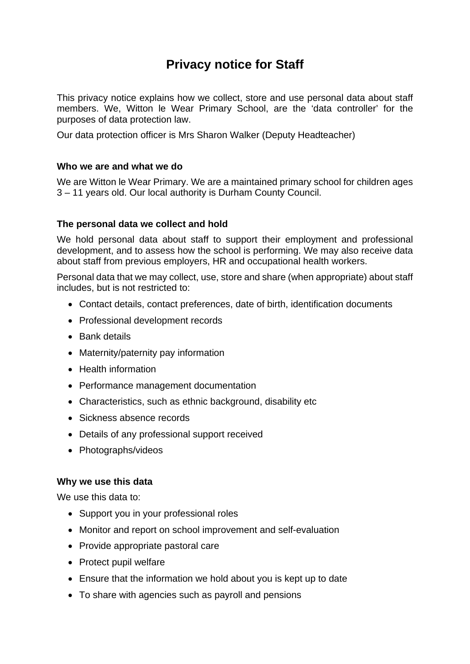# **Privacy notice for Staff**

This privacy notice explains how we collect, store and use personal data about staff members. We, Witton le Wear Primary School, are the 'data controller' for the purposes of data protection law.

Our data protection officer is Mrs Sharon Walker (Deputy Headteacher)

#### **Who we are and what we do**

We are Witton le Wear Primary. We are a maintained primary school for children ages 3 – 11 years old. Our local authority is Durham County Council.

#### **The personal data we collect and hold**

We hold personal data about staff to support their employment and professional development, and to assess how the school is performing. We may also receive data about staff from previous employers, HR and occupational health workers.

Personal data that we may collect, use, store and share (when appropriate) about staff includes, but is not restricted to:

- Contact details, contact preferences, date of birth, identification documents
- Professional development records
- Bank details
- Maternity/paternity pay information
- Health information
- Performance management documentation
- Characteristics, such as ethnic background, disability etc
- Sickness absence records
- Details of any professional support received
- Photographs/videos

#### **Why we use this data**

We use this data to:

- Support you in your professional roles
- Monitor and report on school improvement and self-evaluation
- Provide appropriate pastoral care
- Protect pupil welfare
- Ensure that the information we hold about you is kept up to date
- To share with agencies such as payroll and pensions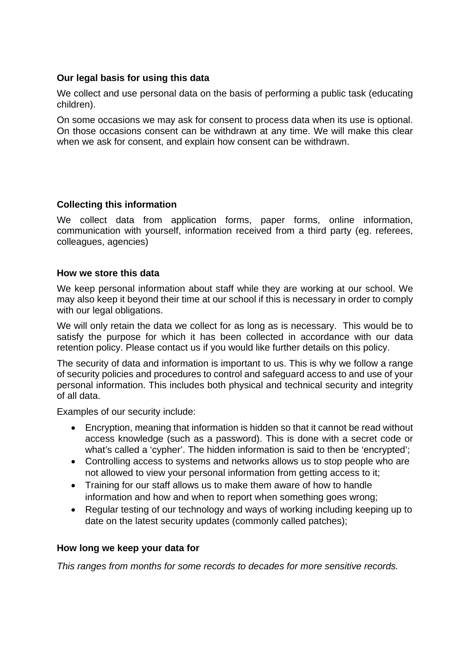#### **Our legal basis for using this data**

We collect and use personal data on the basis of performing a public task (educating children).

On some occasions we may ask for consent to process data when its use is optional. On those occasions consent can be withdrawn at any time. We will make this clear when we ask for consent, and explain how consent can be withdrawn.

#### **Collecting this information**

We collect data from application forms, paper forms, online information, communication with yourself, information received from a third party (eg. referees, colleagues, agencies)

#### **How we store this data**

We keep personal information about staff while they are working at our school. We may also keep it beyond their time at our school if this is necessary in order to comply with our legal obligations.

We will only retain the data we collect for as long as is necessary. This would be to satisfy the purpose for which it has been collected in accordance with our data retention policy. Please contact us if you would like further details on this policy.

The security of data and information is important to us. This is why we follow a range of security policies and procedures to control and safeguard access to and use of your personal information. This includes both physical and technical security and integrity of all data.

Examples of our security include:

- Encryption, meaning that information is hidden so that it cannot be read without access knowledge (such as a password). This is done with a secret code or what's called a 'cypher'. The hidden information is said to then be 'encrypted';
- Controlling access to systems and networks allows us to stop people who are not allowed to view your personal information from getting access to it;
- Training for our staff allows us to make them aware of how to handle information and how and when to report when something goes wrong;
- Regular testing of our technology and ways of working including keeping up to date on the latest security updates (commonly called patches);

#### **How long we keep your data for**

*This ranges from months for some records to decades for more sensitive records.*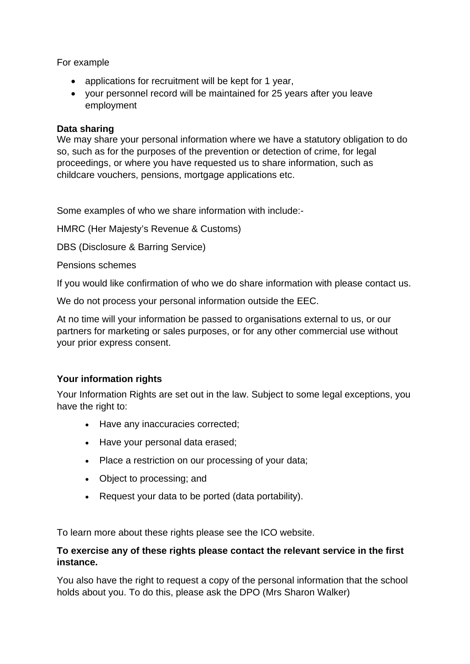For example

- applications for recruitment will be kept for 1 year,
- your personnel record will be maintained for 25 years after you leave employment

#### **Data sharing**

We may share your personal information where we have a statutory obligation to do so, such as for the purposes of the prevention or detection of crime, for legal proceedings, or where you have requested us to share information, such as childcare vouchers, pensions, mortgage applications etc.

Some examples of who we share information with include:-

HMRC (Her Majesty's Revenue & Customs)

DBS (Disclosure & Barring Service)

Pensions schemes

If you would like confirmation of who we do share information with please contact us.

We do not process your personal information outside the EEC.

At no time will your information be passed to organisations external to us, or our partners for marketing or sales purposes, or for any other commercial use without your prior express consent.

# **Your information rights**

Your Information Rights are set out in the law. Subject to some legal exceptions, you have the right to:

- Have any inaccuracies corrected;
- Have your personal data erased;
- Place a restriction on our processing of your data;
- Object to processing; and
- Request your data to be ported (data portability).

To learn more about these rights please see the ICO website.

#### **To exercise any of these rights please contact the relevant service in the first instance.**

You also have the right to request a copy of the personal information that the school holds about you. To do this, please ask the DPO (Mrs Sharon Walker)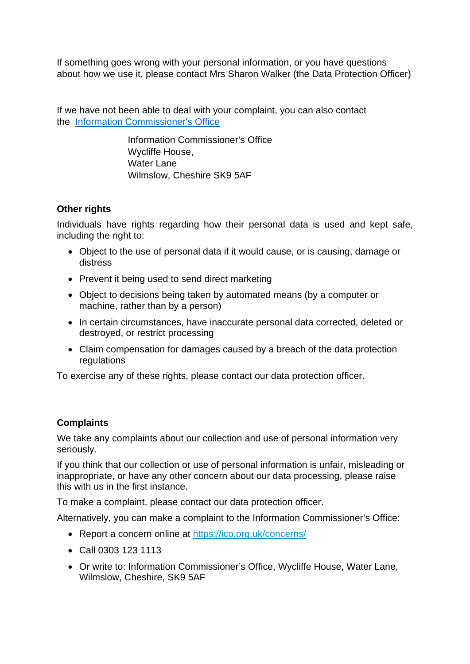If something goes wrong with your personal information, or you have questions about how we use it, please contact Mrs Sharon Walker (the Data Protection Officer)

If we have not been able to deal with your complaint, you can also contact the [Information Commissioner's Office](https://ico.org.uk/)

> Information Commissioner's Office Wycliffe House, Water Lane Wilmslow, Cheshire SK9 5AF

# **Other rights**

Individuals have rights regarding how their personal data is used and kept safe, including the right to:

- Object to the use of personal data if it would cause, or is causing, damage or distress
- Prevent it being used to send direct marketing
- Object to decisions being taken by automated means (by a computer or machine, rather than by a person)
- In certain circumstances, have inaccurate personal data corrected, deleted or destroyed, or restrict processing
- Claim compensation for damages caused by a breach of the data protection regulations

To exercise any of these rights, please contact our data protection officer.

# **Complaints**

We take any complaints about our collection and use of personal information very seriously.

If you think that our collection or use of personal information is unfair, misleading or inappropriate, or have any other concern about our data processing, please raise this with us in the first instance.

To make a complaint, please contact our data protection officer.

Alternatively, you can make a complaint to the Information Commissioner's Office:

- Report a concern online at<https://ico.org.uk/concerns/>
- Call 0303 123 1113
- Or write to: Information Commissioner's Office, Wycliffe House, Water Lane, Wilmslow, Cheshire, SK9 5AF